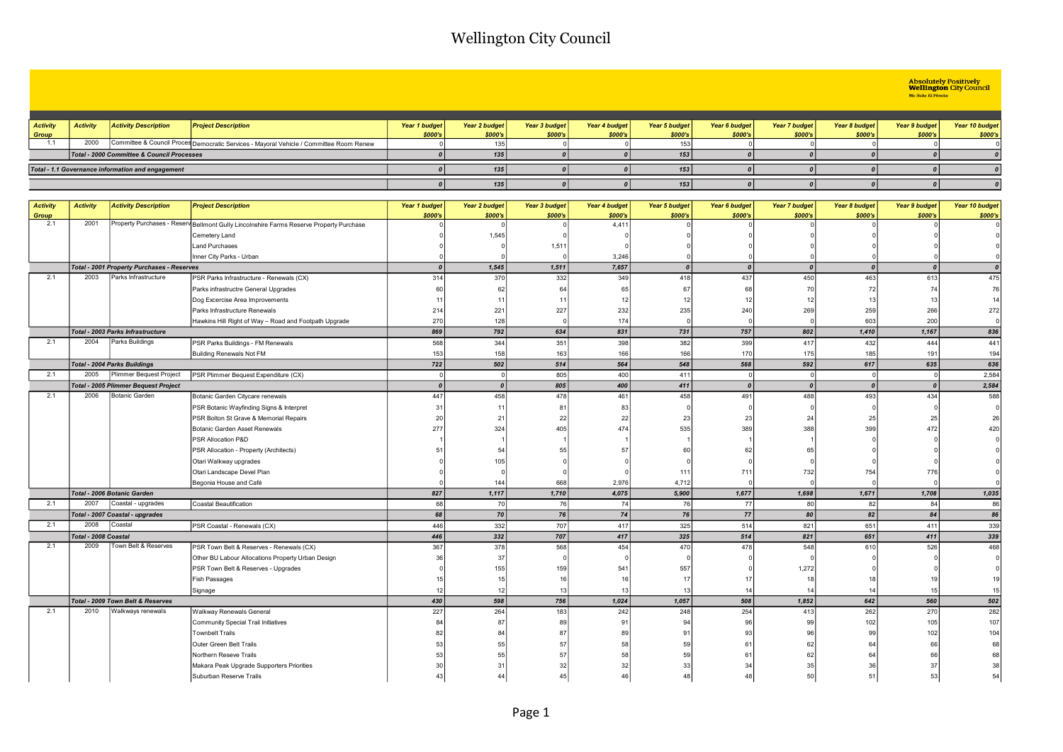# Absolutely Positively<br> **Wellington** City Council<br>
Me Heke Ki Põneke

| <b>Activity</b> | <b>Activity</b>                            | <b>Activity Description</b>                       | <b>Project Description</b>                                                              | Year 1 budget | <b>Year 2 budget</b> | Year 3 budget | Year 4 budget | Year 5 budget | Year 6 budget | <b>Year 7 budget</b> | Year 8 budget | Year 9 budget | Year 10 budget |
|-----------------|--------------------------------------------|---------------------------------------------------|-----------------------------------------------------------------------------------------|---------------|----------------------|---------------|---------------|---------------|---------------|----------------------|---------------|---------------|----------------|
| Group           |                                            |                                                   |                                                                                         | \$000's       | \$000's              | \$000's       | \$000's       | \$000's       | \$000's       | \$000's              | \$000's       | \$000's       | \$000's        |
| 1.1             | 2000                                       |                                                   | Committee & Council Proces Democratic Services - Mayoral Vehicle / Committee Room Renew |               | 135                  |               |               | 153           |               |                      |               |               |                |
|                 | Total - 2000 Committee & Council Processes |                                                   |                                                                                         |               | 135                  |               |               | 153           |               |                      |               |               |                |
|                 |                                            | Total - 1.1 Governance information and engagement |                                                                                         |               | 135                  |               |               | 153           |               |                      |               |               |                |
|                 |                                            |                                                   |                                                                                         |               | 135                  |               |               | 153           |               |                      |               |               |                |

| <b>Activity</b> | <b>Activity</b>      | <b>Activity Description</b>                 | <b>Project Description</b>                                                              | <b>Year 1 budget</b> | Year 2 budget  | <b>Year 3 budget</b> | Year 4 budget | <b>Year 5 budget</b> | <b>Year 6 budget</b> | <b>Year 7 budget</b> | Year 8 budget    | Year 9 budget    | Year 10 budget |
|-----------------|----------------------|---------------------------------------------|-----------------------------------------------------------------------------------------|----------------------|----------------|----------------------|---------------|----------------------|----------------------|----------------------|------------------|------------------|----------------|
| <b>Group</b>    |                      |                                             |                                                                                         | \$000's              | \$000's        | \$000's              | \$000's       | \$000's              | \$000's              | \$000's              | \$000's          | \$000's          | \$000's        |
| 2.1             | 2001                 |                                             | Property Purchases - Reserv Bellmont Gully Lincolnshire Farms Reserve Property Purchase |                      | $\cap$         |                      | 4,411         |                      |                      |                      |                  |                  |                |
|                 |                      |                                             | Cemetery Land                                                                           |                      | 1,545          |                      |               |                      |                      |                      |                  |                  |                |
|                 |                      |                                             | <b>Land Purchases</b>                                                                   |                      |                | 1,511                |               |                      |                      |                      |                  |                  |                |
|                 |                      |                                             | Inner City Parks - Urban                                                                |                      |                |                      | 3,246         |                      |                      |                      |                  |                  |                |
|                 |                      | Total - 2001 Property Purchases - Reserves  |                                                                                         | $\boldsymbol{0}$     | 1,545          | 1,511                | 7,657         | $\boldsymbol{0}$     | $\boldsymbol{0}$     | $\boldsymbol{0}$     | $\boldsymbol{0}$ | $\boldsymbol{0}$ |                |
| 2.1             | 2003                 | Parks Infrastructure                        | PSR Parks Infrastructure - Renewals (CX)                                                | 314                  | 370            | 332                  | 349           | 418                  | 437                  | 450                  | 463              | 613              | 475            |
|                 |                      |                                             | Parks infrastructre General Upgrades                                                    | 60                   | 62             | 64                   | 65            | 67                   | 68                   | 70                   | 72               | 74               | 76             |
|                 |                      |                                             | Dog Excercise Area Improvements                                                         | 11                   | 11             | 11                   | 12            | 12                   | 12                   | 12                   | 13               | 13               | 14             |
|                 |                      |                                             | Parks Infrastructure Renewals                                                           | 214                  | 221            | 227                  | 232           | 235                  | 240                  | 269                  | 259              | 266              | 272            |
|                 |                      |                                             | Hawkins Hill Right of Way - Road and Footpath Upgrade                                   | 270                  | 128            |                      | 174           | $\Omega$             |                      |                      | 603              | 200              |                |
|                 |                      | Total - 2003 Parks Infrastructure           |                                                                                         | 869                  | 792            | 634                  | 831           | 731                  | 757                  | 802                  | 1,410            | 1,167            | 836            |
| 2.1             | 2004                 | Parks Buildings                             | PSR Parks Buildings - FM Renewals                                                       | 568                  | 344            | 351                  | 398           | 382                  | 399                  | 417                  | 432              | 444              | 441            |
|                 |                      |                                             | <b>Building Renewals Not FM</b>                                                         | 153                  | 158            | 163                  | 166           | 166                  | 170                  | 175                  | 185              | 191              | 194            |
|                 |                      | <b>Total - 2004 Parks Buildings</b>         |                                                                                         | 722                  | 502            | 514                  | 564           | 548                  | 568                  | 592                  | 617              | 635              | 636            |
| 2.1             | 2005                 | Plimmer Bequest Project                     | PSR Plimmer Bequest Expenditure (CX)                                                    | $\Omega$             | ol             | 805                  | 400           | 411                  |                      | $\Omega$             |                  | $\Omega$         | 2,584          |
|                 |                      | <b>Total - 2005 Plimmer Bequest Project</b> |                                                                                         | $\boldsymbol{0}$     | $\Omega$       | 805                  | 400           | 411                  | $\boldsymbol{0}$     | $\boldsymbol{0}$     | $\boldsymbol{0}$ | $\boldsymbol{0}$ | 2,584          |
| 2.1             | 2006                 | Botanic Garden                              | Botanic Garden Citycare renewals                                                        | 447                  | 458            | 478                  | 461           | 458                  | 491                  | 488                  | 493              | 434              | 588            |
|                 |                      |                                             | PSR Botanic Wayfinding Signs & Interpret                                                | 31                   | 11             | 81                   | 83            |                      |                      |                      |                  |                  |                |
|                 |                      |                                             | PSR Bolton St Grave & Memorial Repairs                                                  | 20                   | 21             | 22                   | 22            | 23                   | 23                   | 24                   | 25               | 25               | 26             |
|                 |                      |                                             | Botanic Garden Asset Renewals                                                           | 277                  | 324            | 405                  | 474           | 535                  | 389                  | 388                  | 399              | 472              | 420            |
|                 |                      |                                             | PSR Allocation P&D                                                                      |                      |                |                      |               |                      |                      |                      |                  |                  |                |
|                 |                      |                                             | PSR Allocation - Property (Architects)                                                  | 51                   | 54             | 55                   | 57            | 60                   | 62                   | 65                   |                  |                  |                |
|                 |                      |                                             | Otari Walkway upgrades                                                                  |                      | 105            |                      |               |                      |                      |                      |                  |                  |                |
|                 |                      |                                             | Otari Landscape Devel Plan                                                              |                      |                |                      |               | 111                  | 711                  | 732                  | 754              | 776              |                |
|                 |                      |                                             | Begonia House and Café                                                                  |                      | 144            | 668                  | 2,976         | 4,712                |                      |                      |                  |                  |                |
|                 |                      | Total - 2006 Botanic Garden                 |                                                                                         | 827                  | 1,117          | 1,710                | 4,075         | 5,900                | 1,677                | 1,698                | 1,671            | 1,708            | 1,035          |
| 2.1             | 2007                 | Coastal - upgrades                          | Coastal Beautification                                                                  | 68                   | 70             | <b>76</b>            | 74            | 76                   | 77                   | 80                   | -82              | 84               | 86             |
|                 |                      | Total - 2007 Coastal - upgrades             |                                                                                         | 68                   | 70             | 76                   | 74            | 76                   | 77                   | 80                   | 82               | 84               | 86             |
| 2.1             | 2008                 | Coastal                                     | PSR Coastal - Renewals (CX)                                                             | 446                  | 332            | 707                  | 417           | 325                  | 514                  | 821                  | 651              | 411              | 339            |
|                 | Total - 2008 Coastal |                                             |                                                                                         | 446                  | 332            | 707                  | 417           | 325                  | 514                  | 821                  | 651              | 411              | 339            |
| 2.1             | 2009                 | Town Belt & Reserves                        | PSR Town Belt & Reserves - Renewals (CX)                                                | 367                  | 378            | 568                  | 454           | 470                  | 478                  | 548                  | 610              | 526              | 468            |
|                 |                      |                                             | Other BU Labour Allocations Property Urban Design                                       | 36                   | 37             |                      |               |                      |                      |                      |                  |                  |                |
|                 |                      |                                             | PSR Town Belt & Reserves - Upgrades                                                     |                      | 155            | 159                  | 54'           | 557                  |                      | 1,272                |                  |                  |                |
|                 |                      |                                             | Fish Passages                                                                           |                      | 15             |                      |               | 17                   | $\overline{1}$       | 18 <sup>1</sup>      | 18               | 19               |                |
|                 |                      |                                             | Signage                                                                                 | 12                   | 12             | 13                   | 12            | 13                   | 14                   | 14                   | 14               | 15               | 15             |
|                 |                      | Total - 2009 Town Belt & Reserves           |                                                                                         | 430                  | 598            | 756                  | 1,024         | 1,057                | 508                  | 1,852                | 642              | 560              | 502            |
| 2.1             | 2010                 | Walkways renewals                           | Walkway Renewals General                                                                | 227                  | 264            | 183                  | 242           | 248                  | 254                  | 413                  | 262              | 270              | 282            |
|                 |                      |                                             | Community Special Trail Initiatives                                                     | 84                   | 87             | 89                   | 91            | 94                   | 96                   | 99                   | 102              | 105              | 107            |
|                 |                      |                                             | <b>Townbelt Trails</b>                                                                  | 82                   | 84             | 87                   | 89            | 91                   | 93                   | 96                   | 99               | 102              | 104            |
|                 |                      |                                             | Outer Green Belt Trails                                                                 | 53                   | 55             | 57                   | 58            | 59                   | 61                   | 62                   | 64               | 66               | 68             |
|                 |                      |                                             | Northern Reseve Trails                                                                  | 53                   | 55             | 57                   | 58            | 59                   | -61                  | 62                   | 64               | 66               | 68             |
|                 |                      |                                             | Makara Peak Upgrade Supporters Priorities                                               | 30                   | 3 <sup>1</sup> | 32                   | 32            | 33                   | 34                   | 35                   | 36               | 37               | 38             |
|                 |                      |                                             | Suburban Reserve Trails                                                                 | 43                   |                |                      | $\Lambda$     | 4я                   |                      | 50                   | 51               | 53               |                |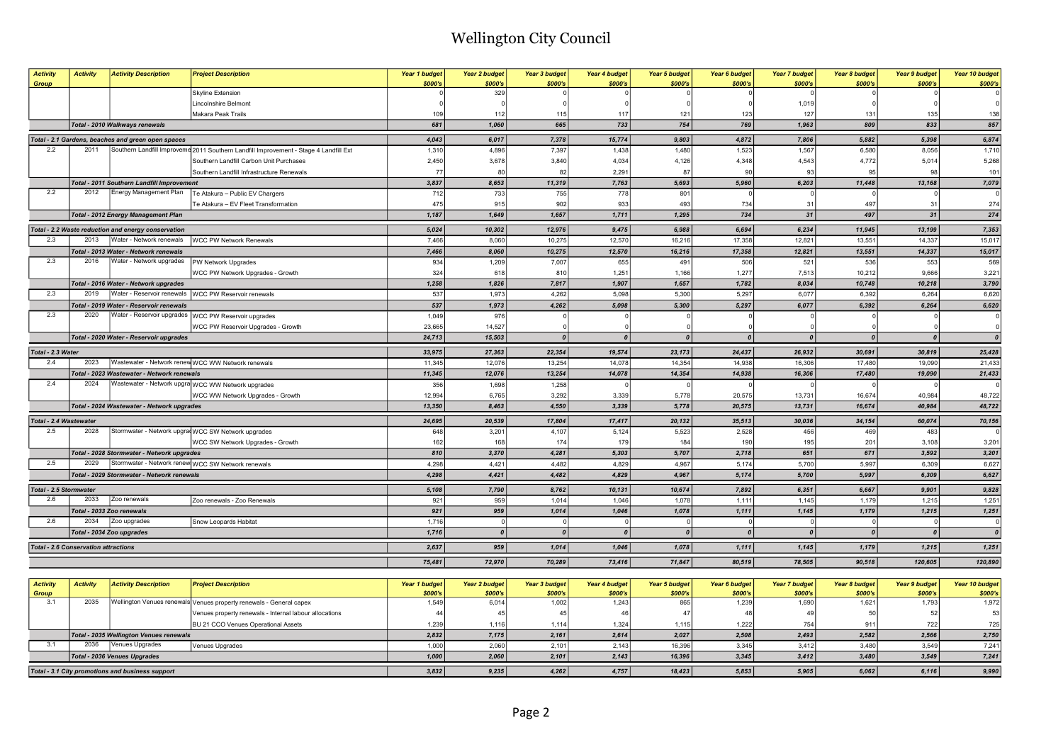| <b>Activity</b><br>Group                    | <b>Activity</b>           | <b>Activity Description</b>                         | <b>Project Description</b>                                                            | Year 1 budget<br>\$000's | <b>Year 2 budget</b><br>\$000's | <b>Year 3 budget</b><br>\$000's | Year 4 budget<br>\$000's | <b>Year 5 budget</b><br>\$000's | Year 6 budget<br>\$000's | <b>Year 7 budget</b><br>\$000's | Year 8 budget<br>\$000's | <b>Year 9 budget</b><br>\$000's | Year 10 budget<br>\$000's |
|---------------------------------------------|---------------------------|-----------------------------------------------------|---------------------------------------------------------------------------------------|--------------------------|---------------------------------|---------------------------------|--------------------------|---------------------------------|--------------------------|---------------------------------|--------------------------|---------------------------------|---------------------------|
|                                             |                           |                                                     | Skyline Extension                                                                     |                          | 329                             |                                 |                          |                                 |                          |                                 |                          |                                 |                           |
|                                             |                           |                                                     | Lincolnshire Belmont                                                                  |                          |                                 |                                 |                          |                                 |                          | 1,019                           |                          |                                 |                           |
|                                             |                           |                                                     | Makara Peak Trails                                                                    | 109                      | 112                             | 115                             | 117                      | 121                             | 123                      | 127                             | 131                      | 135                             | 138                       |
|                                             |                           | Total - 2010 Walkways renewals                      |                                                                                       | 681                      | 1,060                           | 665                             | 733                      | 754                             | 769                      | 1,963                           | 809                      | 833                             | 857                       |
|                                             |                           | Total - 2.1 Gardens, beaches and green open spaces  |                                                                                       | 4,043                    | 6,017                           | 7,378                           | 15,774                   | 9,803                           | 4,872                    | 7,806                           | 5,882                    | 5,398                           | 6,874                     |
| 2.2                                         | 2011                      |                                                     | Southern Landfill Improveme 2011 Southern Landfill Improvement - Stage 4 Landfill Ext | 1,310                    | 4,896                           | 7,397                           | 1,438                    | 1,480                           | 1,523                    | 1,567                           | 6,580                    | 8,056                           | 1,710                     |
|                                             |                           |                                                     | Southern Landfill Carbon Unit Purchases                                               | 2,450                    | 3,678                           | 3,840                           | 4,034                    | 4,126                           | 4,348                    | 4,543                           | 4,772                    | 5,014                           | 5,268                     |
|                                             |                           |                                                     | Southern Landfill Infrastructure Renewals                                             | 77                       | 8 <sub>0</sub>                  | 82                              | 2,29'                    | 87                              | 90                       | 93                              | 95                       | 98                              | 101                       |
|                                             |                           | Total - 2011 Southern Landfill Improvement          |                                                                                       | 3,837                    | 8,653                           | 11,319                          | 7,763                    | 5,693                           | 5,960                    | 6,203                           | 11,448                   | 13,168                          | 7,079                     |
| 2.2                                         | 2012                      | Energy Management Plan                              | Te Atakura - Public EV Chargers                                                       | 712                      | 733                             | 755                             | 778                      | 801                             |                          | $\Omega$                        |                          |                                 |                           |
|                                             |                           |                                                     | Te Atakura - EV Fleet Transformation                                                  | 475                      | 915                             | 902                             | 933                      | 493                             | 734                      | 31                              | 497                      | 31                              | 274                       |
|                                             |                           | <b>Total - 2012 Energy Management Plan</b>          |                                                                                       | 1,187                    | 1,649                           | 1,657                           | 1,711                    | 1,295                           | 734                      | 31                              | 497                      | 31                              | 274                       |
|                                             |                           | Total - 2.2 Waste reduction and energy conservation |                                                                                       | 5,024                    | 10,302                          | 12,976                          | 9,475                    | 6,988                           | 6,694                    | 6,234                           | 11,945                   | 13,199                          | 7,353                     |
| 2.3                                         | 2013                      | Water - Network renewals                            | <b>WCC PW Network Renewals</b>                                                        | 7,466                    | 8,060                           | 10,275                          | 12,570                   | 16,216                          | 17,358                   | 12,821                          | 13,551                   | 14,337                          | 15,017                    |
|                                             |                           | Total - 2013 Water - Network renewals               |                                                                                       | 7,466                    | 8,060                           | 10,275                          | 12,570                   | 16,216                          | 17,358                   | 12,821                          | 13,551                   | 14,337                          | 15,017                    |
| 2.3                                         | 2016                      | Water - Network upgrades                            | PW Network Upgrades                                                                   | 934                      | 1,209                           | 7,007                           | 655                      | 491                             | 506                      | 521                             | 536                      | 553                             | 569                       |
|                                             |                           |                                                     | WCC PW Network Upgrades - Growth                                                      | 324                      | 618                             | 810                             | 1,25'                    | 1,166                           | 1,277                    | 7,513                           | 10,212                   | 9.666                           | 3,221                     |
|                                             |                           | Total - 2016 Water - Network upgrades               |                                                                                       | 1,258                    | 1,826                           | 7,817                           | 1,907                    | 1,657                           | 1,782                    | 8.034                           | 10,748                   | 10,218                          | 3,790                     |
| 2.3                                         | 2019                      | Water - Reservoir renewals                          | <b>WCC PW Reservoir renewals</b>                                                      | 537                      | 1,973                           | 4,262                           | 5,098                    | 5,300                           | 5,297                    | 6,077                           | 6,392                    | 6,264                           | 6,620                     |
|                                             |                           | Total - 2019 Water - Reservoir renewals             |                                                                                       | 537                      | 1,973                           | 4,262                           | 5,098                    | 5,300                           | 5,297                    | 6.077                           | 6,392                    | 6.264                           | 6,620                     |
| 2.3                                         | 2020                      |                                                     | Water - Reservoir upgrades   WCC PW Reservoir upgrades                                | 1,049                    | 976                             |                                 |                          |                                 |                          |                                 |                          |                                 |                           |
|                                             |                           |                                                     | WCC PW Reservoir Upgrades - Growth                                                    | 23,665                   | 14,527                          |                                 |                          |                                 |                          |                                 |                          |                                 |                           |
|                                             |                           | Total - 2020 Water - Reservoir upgrades             |                                                                                       | 24,713                   | 15,503                          | 0                               | $\theta$                 | $\boldsymbol{0}$                | $\boldsymbol{0}$         | $\boldsymbol{0}$                | $\boldsymbol{0}$         | $\theta$                        |                           |
| Total - 2.3 Water                           |                           |                                                     |                                                                                       | 33,975                   | 27,363                          | 22,354                          | 19,574                   | 23,173                          | 24,437                   | 26,932                          | 30,691                   | 30,819                          | 25,428                    |
| 2.4                                         | 2023                      |                                                     | Wastewater - Network renew WCC WW Network renewals                                    | 11,345                   | 12,076                          | 13,254                          | 14,078                   | 14,354                          | 14,938                   | 16,306                          | 17,480                   | 19,090                          | 21,433                    |
|                                             |                           | Total - 2023 Wastewater - Network renewals          |                                                                                       | 11,345                   | 12,076                          | 13,254                          | 14,078                   | 14,354                          | 14,938                   | 16,306                          | 17,480                   | 19,090                          | 21,433                    |
| 2.4                                         | 2024                      |                                                     | Wastewater - Network upgra WCC WW Network upgrades                                    | 356                      | 1,698                           | 1,258                           |                          |                                 |                          |                                 |                          |                                 |                           |
|                                             |                           |                                                     | WCC WW Network Upgrades - Growth                                                      | 12,994                   | 6,765                           | 3,292                           | 3,339                    | 5,778                           | 20,575                   | 13,731                          | 16,674                   | 40,984                          | 48,722                    |
|                                             |                           | Total - 2024 Wastewater - Network upgrades          |                                                                                       | 13.350                   | 8.463                           | 4,550                           | 3,339                    | 5,778                           | 20,575                   | 13,731                          | 16.674                   | 40.984                          | 48,722                    |
| Total - 2.4 Wastewater                      |                           |                                                     |                                                                                       | 24,695                   | 20,539                          | 17,804                          | 17,417                   | 20,132                          | 35,513                   | 30,036                          | 34,154                   | 60,074                          | 70,156                    |
| 2.5                                         | 2028                      |                                                     | Stormwater - Network upgrad WCC SW Network upgrades                                   | 648                      | 3,201                           | 4,107                           | 5,124                    | 5,523                           | 2,528                    | 456                             | 469                      | 483                             |                           |
|                                             |                           |                                                     | WCC SW Network Upgrades - Growth                                                      | 162                      | 168                             | 174                             | 179                      | 184                             | 190                      | 195                             | 201                      | 3,108                           | 3,201                     |
|                                             |                           | Total - 2028 Stormwater - Network upgrades          |                                                                                       | 810                      | 3.370                           | 4,281                           | 5.303                    | 5,707                           | 2,718                    | 651                             | 671                      | 3.592                           | 3,201                     |
| 2.5                                         | 2029                      |                                                     | Stormwater - Network renew WCC SW Network renewals                                    | 4,298                    | 4,421                           | 4,482                           | 4,829                    | 4,967                           | 5,174                    | 5,700                           | 5,997                    | 6,309                           | 6,627                     |
|                                             |                           | Total - 2029 Stormwater - Network renewals          |                                                                                       | 4,298                    | 4,421                           | 4,482                           | 4,829                    | 4,967                           | 5,174                    | 5,700                           | 5,997                    | 6,309                           | 6,627                     |
| Total - 2.5 Stormwater                      |                           |                                                     |                                                                                       | 5,108                    | 7,790                           | 8,762                           | 10,131                   | 10,674                          | 7,892                    | 6,351                           | 6,667                    | 9,901                           | 9,828                     |
| 2.6                                         | 2033                      | Zoo renewals                                        | Zoo renewals - Zoo Renewals                                                           | 921                      | 959                             | 1,014                           | 1,046                    | 1,078                           | 1,111                    | 1,145                           | 1,179                    | 1,215                           | 1,251                     |
|                                             | Total - 2033 Zoo renewals |                                                     |                                                                                       | 921                      | 959                             | 1,014                           | 1,046                    | 1,078                           | 1,111                    | 1,145                           | 1,179                    | 1,215                           | 1,251                     |
| 2.6                                         | 2034                      | Zoo upgrades                                        | Snow Leopards Habitat                                                                 | 1,716                    | $\Omega$                        | $\Omega$                        |                          |                                 | $\Omega$                 | $\Omega$                        | $\Omega$                 | -C                              | $\epsilon$                |
|                                             |                           | Total - 2034 Zoo upgrades                           |                                                                                       | 1,716                    | $\boldsymbol{0}$                | $\Omega$                        |                          | $\boldsymbol{0}$                | $\boldsymbol{0}$         | $\mathbf{a}$                    | $\theta$                 |                                 | $\sqrt{a}$                |
| <b>Total - 2.6 Conservation attractions</b> |                           |                                                     |                                                                                       | 2,637                    | 959                             | 1,014                           | 1,046                    | 1,078                           | 1,111                    | 1,145                           | 1,179                    | 1,215                           | 1,251                     |
|                                             |                           |                                                     |                                                                                       | 75,481                   | 72,970                          | 70,289                          | 73,416                   | 71,847                          | 80,519                   | 78,505                          | 90,518                   | 120,605                         | 120,890                   |

| <b>Activity</b> | <b>Activity</b> | <b>Activity Description</b>                      | <b>Project Description</b>                                          | Year 1 budget | Year 2 budget | Year 3 budget | Year 4 budget | Year 5 budget | Year 6 budget | Year 7 budget | Year 8 budget | <b>Year 9 budget</b> | Year 10 budget |
|-----------------|-----------------|--------------------------------------------------|---------------------------------------------------------------------|---------------|---------------|---------------|---------------|---------------|---------------|---------------|---------------|----------------------|----------------|
| Group           |                 |                                                  |                                                                     | \$000's       | \$000's       | \$000's       | \$000's       | \$000's       | \$000's       | \$000's       | \$000's       | \$000's              | \$000's        |
|                 | 2035            |                                                  | Wellington Venues renewals Venues property renewals - General capex | 1.549         | 6,014         | 1,002         | 1.243         | 865           | 1.239         | 1.690         | 1,621         | .793                 | 1,972          |
|                 |                 |                                                  | Venues property renewals - Internal labour allocations              |               |               |               |               |               |               |               |               |                      |                |
|                 |                 |                                                  | BU 21 CCO Venues Operational Assets                                 | 1,239         | 1.116         | 1,114         | 1,324         | 1,115         | 1.2221        | 754           |               | 722 <sub>1</sub>     | 725            |
|                 |                 | Total - 2035 Wellington Venues renewals          |                                                                     | 2,832         | 7,175         | 2,161         | 2.614         | 2,027         | 2,508         | 2,493         | 2,582         | 2.566                | 2,750          |
|                 | 2036            | Venues Upgrades                                  | Venues Upgrades                                                     | 1.000         | 2.060         | 2,101         | 2.143         | 16.396        | 3.345         | 3.412         | 3.480         | 3.549                | 7,241          |
|                 |                 | Total - 2036 Venues Upgrades                     |                                                                     | 1,000         | 2,060         | 2,101         | 2,143         | 16,396        | 3,345         | 3,412         | 3,480         | 3,549                | 7,241          |
|                 |                 | Total - 3.1 City promotions and business support |                                                                     | 3,832         | 9,235         | 4,262         | 4,757         | 18,423        | 5,853         | 5,905         | 6,062         | 6,116                | 9,990          |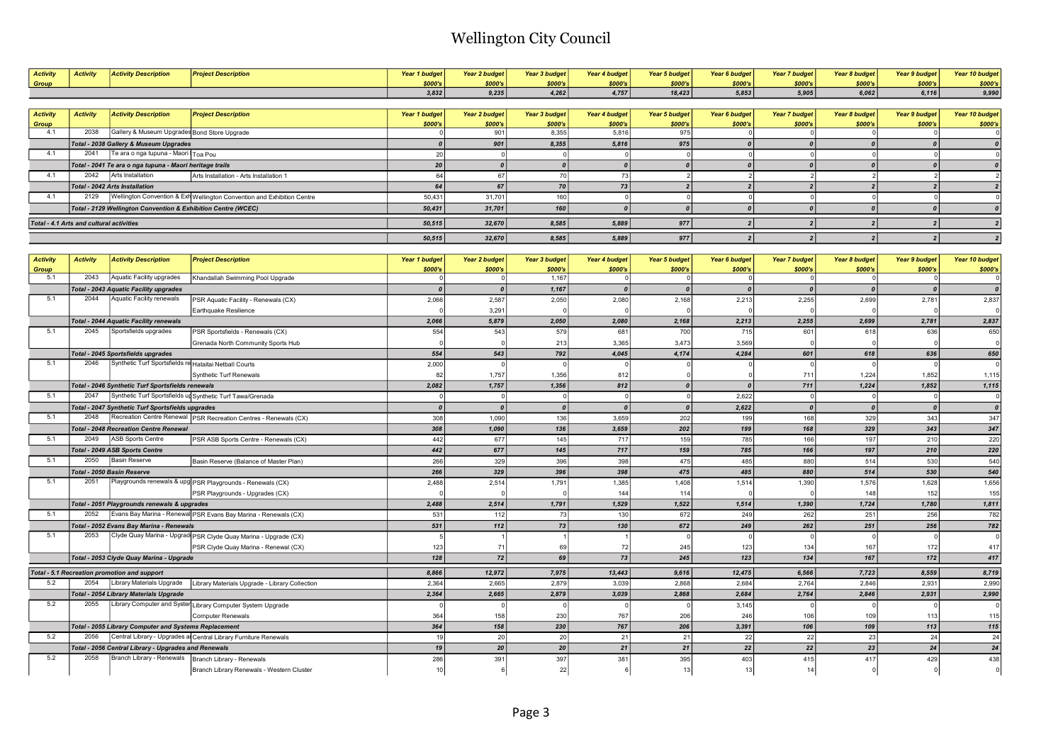| <b>Activity</b>     | <b>Activity</b>                          | <b>Activity Description</b>                                   | <b>Project Description</b>                                                                         | <b>Year 1 budget</b><br>\$000's | <b>Year 2 budget</b><br>\$000's | <b>Year 3 budget</b><br>\$000's | <b>Year 4 budget</b><br>\$000's | Year 5 budget<br>\$000's | Year 6 budget<br>\$000's | <b>Year 7 budget</b><br>\$000's | Year 8 budget<br>\$000's | <b>Year 9 budget</b><br>\$000's | Year 10 budget<br>\$000's |
|---------------------|------------------------------------------|---------------------------------------------------------------|----------------------------------------------------------------------------------------------------|---------------------------------|---------------------------------|---------------------------------|---------------------------------|--------------------------|--------------------------|---------------------------------|--------------------------|---------------------------------|---------------------------|
| Group               |                                          |                                                               |                                                                                                    | 3,832                           | 9,235                           | 4,262                           | 4,757                           | 18,423                   | 5,853                    | 5,905                           | 6,062                    | 6,116                           | 9,990                     |
|                     |                                          |                                                               |                                                                                                    |                                 |                                 |                                 |                                 |                          |                          |                                 |                          |                                 |                           |
| <b>Activity</b>     | <b>Activity</b>                          | <b>Activity Description</b>                                   | <b>Project Description</b>                                                                         | <b>Year 1 budget</b>            | <b>Year 2 budget</b>            | <b>Year 3 budget</b>            | Year 4 budget                   | <b>Year 5 budget</b>     | Year 6 budget            | <b>Year 7 budget</b>            | Year 8 budget            | <b>Year 9 budget</b>            | Year 10 budget            |
| Group               |                                          |                                                               |                                                                                                    | \$000's                         | \$000's                         | \$000's                         | \$000's                         | \$000's                  | \$000's                  | \$000's                         | \$000's                  | \$000's                         | \$000's                   |
| 4.1                 | 2038                                     | Gallery & Museum Upgrades Bond Store Upgrade                  |                                                                                                    |                                 | 901                             | 8,355                           | 5,816                           | 975                      |                          | $^{\circ}$                      |                          |                                 |                           |
|                     |                                          | Total - 2038 Gallery & Museum Upgrades                        |                                                                                                    | $\boldsymbol{0}$                | 901                             | 8,355                           | 5,816                           | 975                      | $\theta$                 | $\boldsymbol{0}$                | $\boldsymbol{0}$         | $\boldsymbol{o}$                | $\boldsymbol{0}$          |
| 4.1                 | 2041                                     | Te ara o nga tupuna - Maori Toa Pou                           |                                                                                                    | 20                              | $\Omega$                        | $\Omega$                        |                                 | $\Omega$                 | $\Omega$                 | $\circ$                         | $\Omega$                 | $\Omega$                        |                           |
|                     |                                          | Total - 2041 Te ara o nga tupuna - Maori heritage trails      |                                                                                                    | 20                              | $\boldsymbol{0}$                | 0                               | $\boldsymbol{0}$                | $\boldsymbol{0}$         | $\theta$                 | $\pmb{o}$                       | $\boldsymbol{0}$         | $\boldsymbol{0}$                |                           |
| 4.1                 | 2042                                     | Arts Installation                                             | Arts Installation - Arts Installation 1                                                            | 64                              | 67                              | 70                              | 73                              | $\vert$ 2                | $\overline{2}$           | $\overline{2}$                  | $\overline{2}$           | $\overline{2}$                  |                           |
|                     |                                          | <b>Total - 2042 Arts Installation</b>                         |                                                                                                    | 64                              | 67                              | 70                              | 73                              | $\overline{2}$           | 2 <sup>1</sup>           | $\overline{2}$                  | $\overline{2}$           | $\overline{2}$                  |                           |
| 4.1                 | 2129                                     |                                                               | Wellington Convention & Exh Wellington Convention and Exhibition Centre                            | 50,431                          | 31,701                          | 160                             | $\Omega$                        | 0                        | $\Omega$                 | 0                               | $\Omega$                 | $\Omega$                        |                           |
|                     |                                          | Total - 2129 Wellington Convention & Exhibition Centre (WCEC) |                                                                                                    | 50,431                          | 31,701                          | 160                             | $\boldsymbol{o}$                | $\boldsymbol{0}$         | $\theta$                 | 0                               | $\boldsymbol{0}$         | $\boldsymbol{0}$                |                           |
|                     | Total - 4.1 Arts and cultural activities |                                                               |                                                                                                    | 50,515                          | 32,670                          | 8,585                           | 5,889                           | 977                      | $\overline{2}$           | $\overline{2}$                  | $\overline{2}$           | $\overline{2}$                  |                           |
|                     |                                          |                                                               |                                                                                                    |                                 |                                 |                                 |                                 |                          |                          |                                 |                          |                                 |                           |
|                     |                                          |                                                               |                                                                                                    | 50,515                          | 32,670                          | 8,585                           | 5,889                           | 977                      | 2                        | $\vert$ 2                       | 2                        | 2                               |                           |
|                     |                                          |                                                               |                                                                                                    |                                 |                                 |                                 |                                 |                          |                          |                                 |                          |                                 |                           |
| <b>Activity</b>     | <b>Activity</b>                          | <b>Activity Description</b>                                   | <b>Project Description</b>                                                                         | <b>Year 1 budget</b>            | <b>Year 2 budget</b>            | <b>Year 3 budget</b>            | Year 4 budget                   | <b>Year 5 budget</b>     | Year 6 budget            | <b>Year 7 budget</b>            | Year 8 budget            | <b>Year 9 budget</b>            | Year 10 budget            |
| <b>Group</b><br>5.1 | 2043                                     | Aquatic Facility upgrades                                     | Khandallah Swimming Pool Upgrade                                                                   | \$000's<br>$\Omega$             | \$000's<br>$\Omega$             | \$000's<br>1,167                | \$000's<br>$\Omega$             | \$000's<br>$\Omega$      | \$000's<br>$\Omega$      | \$000's<br>$\mathbf 0$          | \$000's<br>$\Omega$      | \$000's<br>$\Omega$             | \$000's                   |
|                     |                                          | <b>Total - 2043 Aquatic Facility upgrades</b>                 |                                                                                                    | $\boldsymbol{0}$                | $\boldsymbol{0}$                | 1,167                           | $\boldsymbol{0}$                | $\boldsymbol{0}$         | $\boldsymbol{0}$         | $\boldsymbol{0}$                | $\boldsymbol{0}$         | $\boldsymbol{0}$                | $\boldsymbol{0}$          |
| 5.1                 | 2044                                     | <b>Aquatic Facility renewals</b>                              | PSR Aquatic Facility - Renewals (CX)                                                               | 2,066                           | 2,587                           | 2,050                           | 2,080                           | 2,168                    | 2,213                    | 2,255                           | 2,699                    | 2,781                           | 2,837                     |
|                     |                                          |                                                               | Earthquake Resilience                                                                              |                                 | 3,291                           | $\epsilon$                      |                                 |                          |                          |                                 |                          |                                 |                           |
|                     |                                          | <b>Total - 2044 Aquatic Facility renewals</b>                 |                                                                                                    | 2,066                           | 5,879                           | 2,050                           | 2,080                           | 2,168                    | 2,213                    | 2,255                           | 2,699                    | 2,781                           | 2,837                     |
| 5.1                 | 2045                                     | Sportsfields upgrades                                         | PSR Sportsfields - Renewals (CX)                                                                   | 554                             | 543                             | 579                             | 681                             | 700                      | 715                      | 601                             | 618                      | 636                             | 650                       |
|                     |                                          |                                                               | Grenada North Community Sports Hub                                                                 |                                 |                                 | 213                             | 3,365                           | 3,473                    | 3,569                    |                                 |                          |                                 |                           |
|                     |                                          | <b>Total - 2045 Sportsfields upgrades</b>                     |                                                                                                    | 554                             | 543                             | 792                             | 4,045                           | 4,174                    | 4,284                    | 601                             | 618                      | 636                             | 650                       |
| 5.1                 | 2046                                     | Synthetic Turf Sportsfields re Hataitai Netball Courts        |                                                                                                    | 2,000                           | $\sqrt{2}$                      | $\mathbf{r}$                    |                                 |                          |                          |                                 |                          |                                 |                           |
|                     |                                          |                                                               | Synthetic Turf Renewals                                                                            | 82                              | 1,757                           | 1,356                           | 812                             | $\mathbf 0$              |                          | 711                             | 1,224                    | 1,852                           | 1,115                     |
|                     |                                          | Total - 2046 Synthetic Turf Sportsfields renewals             |                                                                                                    | 2,082                           | 1,757                           | 1,356                           | 812                             | $\boldsymbol{0}$         |                          | 711                             | 1,224                    | 1,852                           | 1,115                     |
| 5.1                 | 2047                                     |                                                               | Synthetic Turf Sportsfields un Synthetic Turf Tawa/Grenada                                         | $\Omega$                        | $\Omega$                        | $\mathbf 0$                     | $\Omega$                        | 0                        | 2,622                    | $\mathbf 0$                     | $\Omega$                 | $\Omega$                        | $\mathbf{0}$              |
|                     |                                          | Total - 2047 Synthetic Turf Sportsfields upgrades             |                                                                                                    | $\boldsymbol{0}$                | $\boldsymbol{0}$                | 0                               | $\boldsymbol{0}$                | $\boldsymbol{0}$         | 2,622                    | $\boldsymbol{0}$                | $\boldsymbol{0}$         | $\boldsymbol{0}$                | $\boldsymbol{0}$          |
| 5.1                 | 2048                                     |                                                               | Recreation Centre Renewal PSR Recreation Centres - Renewals (CX)                                   | 308                             | 1,090                           | 136                             | 3,659                           | 202                      | 199                      | 168                             | 329                      | 343                             | 347                       |
|                     |                                          | <b>Total - 2048 Recreation Centre Renewal</b>                 |                                                                                                    | 308                             | 1,090                           | 136                             | 3,659                           | 202                      | 199                      | 168                             | 329                      | 343                             | 347                       |
| 5.1                 | 2049                                     | ASB Sports Centre                                             | PSR ASB Sports Centre - Renewals (CX)                                                              | 442                             | 677                             | 145                             | 717                             | 159                      | 785                      | 166                             | 197                      | 210                             | 220                       |
|                     |                                          | Total - 2049 ASB Sports Centre                                |                                                                                                    | 442                             | 677                             | 145                             | 717                             | 159                      | 785                      | 166                             | 197                      | 210                             | 220                       |
| 5.1                 | 2050                                     | Basin Reserve                                                 | Basin Reserve (Balance of Master Plan)                                                             | 266                             | 329                             | 396                             | 398                             | 475                      | 485                      | 880                             | 514                      | 530                             | 540                       |
|                     |                                          | Total - 2050 Basin Reserve                                    |                                                                                                    | 266                             | 329                             | 396                             | 398                             | 475                      | 485                      | 880                             | 514                      | 530                             | 540                       |
| 5.1                 | 2051                                     |                                                               | Playgrounds renewals & upg PSR Playgrounds - Renewals (CX)                                         | 2,488                           | 2,514                           | 1,791                           | 1,385                           | 1,408                    | 1,514                    | 1,390                           | 1,576                    | 1,628                           | 1,656                     |
|                     |                                          |                                                               | PSR Playgrounds - Upgrades (CX)                                                                    |                                 |                                 |                                 | 144                             | 114                      |                          |                                 | 148                      | 152                             | 155                       |
|                     |                                          | Total - 2051 Playgrounds renewals & upgrades                  |                                                                                                    | 2,488                           | 2,514                           | 1,791                           | 1,529                           | 1,522                    | 1,514                    | 1,390                           | 1,724                    | 1,780                           | 1,811                     |
| 5.1                 | 2052                                     |                                                               | Evans Bay Marina - Renewal PSR Evans Bay Marina - Renewals (CX)                                    | 531                             | 112                             | 73                              | 130                             | 672                      | 249                      | 262                             | 251                      | 256                             | 782                       |
|                     |                                          | Total - 2052 Evans Bay Marina - Renewals                      |                                                                                                    | 531                             | 112                             | $73\,$                          | 130                             | 672                      | 249                      | 262                             | 251                      | 256                             | 782                       |
| 5.1                 | 2053                                     |                                                               | Clyde Quay Marina - Upgrad PSR Clyde Quay Marina - Upgrade (CX)                                    |                                 |                                 |                                 |                                 |                          |                          |                                 |                          |                                 |                           |
|                     |                                          |                                                               | PSR Clyde Quay Marina - Renewal (CX)                                                               | 123                             | 71                              | 69                              | 72                              | 245                      | 123                      | 134                             | 167                      | 172                             | 417                       |
|                     |                                          | Total - 2053 Clyde Quay Marina - Upgrade                      |                                                                                                    | 128                             | 72                              | 69                              | 73                              | 245                      | 123                      | 134                             | 167                      | 172                             | 417                       |
|                     |                                          |                                                               |                                                                                                    |                                 |                                 |                                 |                                 |                          |                          |                                 |                          |                                 |                           |
|                     |                                          | Total - 5.1 Recreation promotion and support                  |                                                                                                    | 8.866                           | 12,972                          | 7,975                           | 13,443                          | 9,616                    | 12,475                   | 6,566                           | 7,723                    | 8,559                           | 8,719                     |
| 5.2                 | 2054                                     | Library Materials Upgrade                                     | Library Materials Upgrade - Library Collection                                                     | 2,364                           | 2,665                           | 2,879                           | 3,039                           | 2,868                    | 2,684                    | 2,764                           | 2.846                    | 2,931                           | 2,990                     |
| 5.2                 |                                          | Total - 2054 Library Materials Upgrade                        |                                                                                                    | 2,364                           | 2,665                           | 2,879                           | 3,039                           | 2,868                    | 2,684                    | 2,764                           | 2,846                    | 2,931                           | 2,990                     |
|                     | 2055                                     |                                                               | Library Computer and Syster Library Computer System Upgrade                                        |                                 | $\epsilon$                      |                                 |                                 |                          | 3,145                    |                                 |                          |                                 |                           |
|                     |                                          |                                                               | <b>Computer Renewals</b>                                                                           | 364                             | 158                             | 230                             | 767                             | 206                      | 246                      | 106                             | 109                      | 113                             | 115                       |
| 5.2                 |                                          | Total - 2055 Library Computer and Systems Replacement         |                                                                                                    | 364                             | 158                             | 230                             | 767                             | 206                      | 3,391                    | 106                             | 109                      | 113                             | $115$                     |
|                     | 2056                                     |                                                               | Central Library - Upgrades al Central Library Furniture Renewals                                   | 19                              | 20                              | 20                              | 21                              | 21                       | 22                       | 22                              | 23                       | 24                              | 24                        |
|                     |                                          | Total - 2056 Central Library - Upgrades and Renewals          |                                                                                                    | 19                              | 20                              | 20 <sup>°</sup>                 | 21                              | 21                       | 22                       | 22                              | 23                       | 24                              | $\overline{24}$           |
| 5.2                 | 2058                                     |                                                               | Branch Library - Renewals   Branch Library - Renewals<br>Branch Library Renewals - Western Cluster | 286<br>10                       | 391<br>6                        | 397<br>22                       | 381                             | 395<br>13                | 403<br>13                | 415<br>14                       | 417                      | 429                             | 438                       |
|                     |                                          |                                                               |                                                                                                    |                                 |                                 |                                 |                                 |                          |                          |                                 |                          |                                 |                           |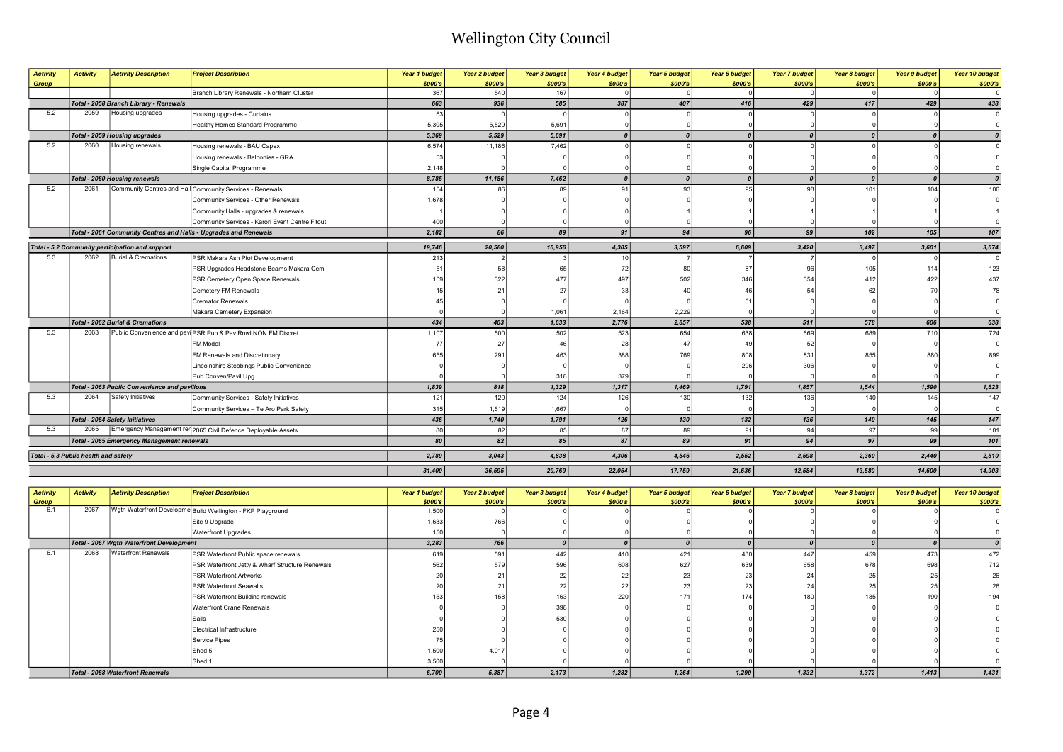| <b>Activity</b><br>Group | <b>Activity</b>                      | <b>Activity Description</b>                       | <b>Project Description</b>                                       | Year 1 budget<br>\$000's | Year 2 budget<br>\$000's | <b>Year 3 budget</b><br>\$000's | Year 4 budget<br>\$000's | <b>Year 5 budget</b><br>\$000's | Year 6 budget<br>\$000's | Year 7 budget<br>\$000's | Year 8 budget<br>\$000's | <b>Year 9 budget</b><br>\$000's | Year 10 budget<br>\$000's |
|--------------------------|--------------------------------------|---------------------------------------------------|------------------------------------------------------------------|--------------------------|--------------------------|---------------------------------|--------------------------|---------------------------------|--------------------------|--------------------------|--------------------------|---------------------------------|---------------------------|
|                          |                                      |                                                   | Branch Library Renewals - Northern Cluster                       | 367                      | 540                      | 167                             |                          |                                 |                          |                          |                          |                                 |                           |
|                          |                                      | Total - 2058 Branch Library - Renewals            |                                                                  | 663                      | 936                      | 585                             | 387                      | 407                             | 416                      | 429                      | 417                      | 429                             | 438                       |
| 5.2                      | 2059                                 | Housing upgrades                                  | Housing upgrades - Curtains                                      | 63                       |                          |                                 |                          |                                 |                          |                          |                          |                                 |                           |
|                          |                                      |                                                   | Healthy Homes Standard Programme                                 | 5,305                    | 5,529                    | 5,691                           |                          |                                 |                          |                          |                          |                                 |                           |
|                          |                                      | <b>Total - 2059 Housing upgrades</b>              |                                                                  | 5,369                    | 5,529                    | 5,691                           | $\mathbf{a}$             | $\boldsymbol{0}$                | $\sqrt{ }$               | $\boldsymbol{0}$         |                          |                                 |                           |
| 5.2                      | 2060                                 | Housing renewals                                  | Housing renewals - BAU Capex                                     | 6,574                    | 11,186                   | 7,462                           |                          |                                 |                          |                          |                          |                                 |                           |
|                          |                                      |                                                   | Housing renewals - Balconies - GRA                               | 63                       |                          |                                 |                          |                                 |                          |                          |                          |                                 |                           |
|                          |                                      |                                                   | Single Capital Programme                                         | 2,148                    |                          |                                 |                          |                                 |                          |                          |                          |                                 |                           |
|                          |                                      | <b>Total - 2060 Housing renewals</b>              |                                                                  | 8,785                    | 11,186                   | 7,462                           |                          | $\boldsymbol{0}$                |                          | $\mathbf{a}$             |                          |                                 |                           |
| 5.2                      | 2061                                 |                                                   | Community Centres and Hall Community Services - Renewals         | 104                      | 86                       | 89                              | 91                       | 93                              | 95                       | 98                       | 101                      | 104                             | 106                       |
|                          |                                      |                                                   | Community Services - Other Renewals                              | 1,678                    |                          |                                 |                          |                                 |                          |                          |                          |                                 |                           |
|                          |                                      |                                                   | Community Halls - upgrades & renewals                            |                          |                          |                                 |                          |                                 |                          |                          |                          |                                 |                           |
|                          |                                      |                                                   | Community Services - Karori Event Centre Fitout                  | 400                      |                          |                                 |                          |                                 |                          |                          |                          |                                 |                           |
|                          |                                      |                                                   | Total - 2061 Community Centres and Halls - Upgrades and Renewals | 2,182                    | 86                       | 89                              | 91                       | 94                              | 96                       | 99                       | 102                      | 105                             | 107                       |
|                          |                                      | Total - 5.2 Community participation and support   |                                                                  | 19,746                   | 20,580                   | 16,956                          | 4,305                    | 3,597                           | 6,609                    | 3,420                    | 3,497                    | 3,601                           | 3,674                     |
| 5.3                      | 2062                                 | Burial & Cremations                               | PSR Makara Ash Plot Developmemt                                  | 213                      |                          |                                 | 10                       |                                 |                          |                          |                          |                                 |                           |
|                          |                                      |                                                   | PSR Upgrades Headstone Beams Makara Cem                          | 51                       | 58                       | 65                              | 72                       | 80                              | 87                       | 96                       | 105                      | 114                             | 123                       |
|                          |                                      |                                                   | PSR Cemetery Open Space Renewals                                 | 109                      | 322                      | 477                             | 497                      | 502                             | 346                      | 354                      | 412                      | 422                             | 437                       |
|                          |                                      |                                                   | Cemetery FM Renewals                                             |                          | 21                       | 27                              | 33                       | 40                              | 46                       | 54                       |                          |                                 |                           |
|                          |                                      |                                                   | <b>Cremator Renewals</b>                                         |                          |                          |                                 |                          |                                 | -51                      |                          |                          |                                 |                           |
|                          |                                      |                                                   | Makara Cemetery Expansion                                        |                          |                          | 1,061                           | 2,164                    | 2,229                           |                          |                          |                          |                                 |                           |
|                          |                                      | <b>Total - 2062 Burial &amp; Cremations</b>       |                                                                  | 434                      | 403                      | 1,633                           | 2,776                    | 2,857                           | 538                      | 511                      | 578                      | 606                             | 638                       |
| 5.3                      | 2063                                 |                                                   | Public Convenience and pavi PSR Pub & Pay Rnwl NON FM Discret    | 1,107                    | 500                      | 502                             | 523                      | 654                             | 638                      | 669                      | 689                      | 710                             | 724                       |
|                          |                                      |                                                   | FM Model                                                         | 77                       | 27                       |                                 | 28                       | 47                              | 4 <sup>c</sup>           | 52                       |                          |                                 |                           |
|                          |                                      |                                                   | FM Renewals and Discretionary                                    | 655                      | 291                      | 463                             | 388                      | 769                             | 808                      | 831                      | 855                      | 88                              | 899                       |
|                          |                                      |                                                   | Lincolnshire Stebbings Public Convenience                        |                          |                          |                                 |                          |                                 | 296                      | 306                      |                          |                                 |                           |
|                          |                                      |                                                   | Pub Conven/Pavil Upg                                             |                          |                          | 318                             | 379                      |                                 |                          |                          |                          |                                 |                           |
|                          |                                      | Total - 2063 Public Convenience and pavilions     |                                                                  | 1,839                    | 818                      | 1,329                           | 1,317                    | 1,469                           | 1,791                    | 1,857                    | 1,544                    | 1,590                           | 1,623                     |
| 5.3                      | 2064                                 | Safety Initiatives                                | Community Services - Safety Initiatives                          | 121                      | 120                      | 124                             | 126                      | 130                             | 132                      | 136                      | 140                      | 145                             | 147                       |
|                          |                                      |                                                   | Community Services - Te Aro Park Safety                          | 315                      | 1,619                    | 1,667                           |                          |                                 |                          |                          |                          |                                 |                           |
|                          |                                      | <b>Total - 2064 Safety Initiatives</b>            |                                                                  | 436                      | 1,740                    | 1,791                           | 126                      | 130                             | 132                      | 136                      | 140                      | 145                             | 147                       |
| 5.3                      | 2065                                 |                                                   | Emergency Management ren 2065 Civil Defence Deployable Assets    | 80                       | 82                       | 85                              | 87                       | 89                              | 91                       | 94                       | 97                       | 99                              | 101                       |
|                          |                                      | <b>Total - 2065 Emergency Management renewals</b> |                                                                  | 80                       | 82                       | 85 <sup>1</sup>                 | 87                       | 89                              | 91                       | 94                       | 97                       | 99                              | 101                       |
|                          | Total - 5.3 Public health and safety |                                                   |                                                                  | 2,789                    | 3,043                    | 4,838                           | 4,306                    | 4,546                           | 2,552                    | 2,598                    | 2,360                    | 2,440                           | 2,510                     |
|                          |                                      |                                                   |                                                                  | 31,400                   | 36,595                   | 29,769                          | 22,054                   | 17,759                          | 21,636                   | 12,584                   | 13,580                   | 14,600                          | 14,903                    |

| <b>Activity</b> | <b>Activity</b> | <b>Activity Description</b>              | <b>Project Description</b>                                  | Year 1 budget | Year 2 budget | Year 3 budget | Year 4 budget | Year 5 budget | Year 6 budget | <b>Year 7 budget</b> | Year 8 budget | Year 9 budget | Year 10 budget |
|-----------------|-----------------|------------------------------------------|-------------------------------------------------------------|---------------|---------------|---------------|---------------|---------------|---------------|----------------------|---------------|---------------|----------------|
| Group           |                 |                                          |                                                             | \$000's       | \$000's       | \$000's       | \$000's       | \$000's       | \$000's       | \$000's              | \$000's       | \$000's       | \$000's        |
| 6.1             | 2067            |                                          | Wgtn Waterfront Developme Build Wellington - FKP Playground | 1,500         |               |               |               |               |               |                      |               |               |                |
|                 |                 |                                          | Site 9 Upgrade                                              | 1,633         | 766           |               |               |               |               |                      |               |               |                |
|                 |                 |                                          | <b>Waterfront Upgrades</b>                                  | 150           |               |               |               |               |               |                      |               |               |                |
|                 |                 | Total - 2067 Wgtn Waterfront Development |                                                             | 3,283         | 766           |               |               |               |               |                      |               |               |                |
| 6.1             | 2068            | <b>Waterfront Renewals</b>               | PSR Waterfront Public space renewals                        | 619           | 591           | 442           | 410           | 421           | 430           | 447                  | 459           | 473           | 472            |
|                 |                 |                                          | PSR Waterfront Jetty & Wharf Structure Renewals             | 562           | 579           | 596           | 608           | 627           | 639           | 658                  | 678           | 698           | 712            |
|                 |                 |                                          | <b>PSR Waterfront Artworks</b>                              | oc            | 21            |               | 22            |               |               |                      |               |               |                |
|                 |                 |                                          | <b>PSR Waterfront Seawalls</b>                              | 20            | 21            |               | 22            | 23            |               |                      |               |               |                |
|                 |                 |                                          | PSR Waterfront Building renewals                            | 153           | 158           |               | 220           | 171           | 174           | 180                  | 185           | 190           | 194            |
|                 |                 |                                          | <b>Waterfront Crane Renewals</b>                            |               |               | 398           |               |               |               |                      |               |               |                |
|                 |                 |                                          | Sails                                                       |               |               | 530           |               |               |               |                      |               |               |                |
|                 |                 |                                          | Electrical Infrastructure                                   | 250           |               |               |               |               |               |                      |               |               |                |
|                 |                 |                                          | Service Pipes                                               |               |               |               |               |               |               |                      |               |               |                |
|                 |                 |                                          | Shed 5                                                      | 1,500         | 4,017         |               |               |               |               |                      |               |               |                |
|                 |                 |                                          | Shed 1                                                      | 3,500         |               |               |               |               |               |                      |               |               |                |
|                 |                 | <b>Total - 2068 Waterfront Renewals</b>  |                                                             | 6,700         | 5,387         | 2,173         | 1,282         | 1,264         | 1,290         | 1,332                | 1,372         | 1,413         | 1,431          |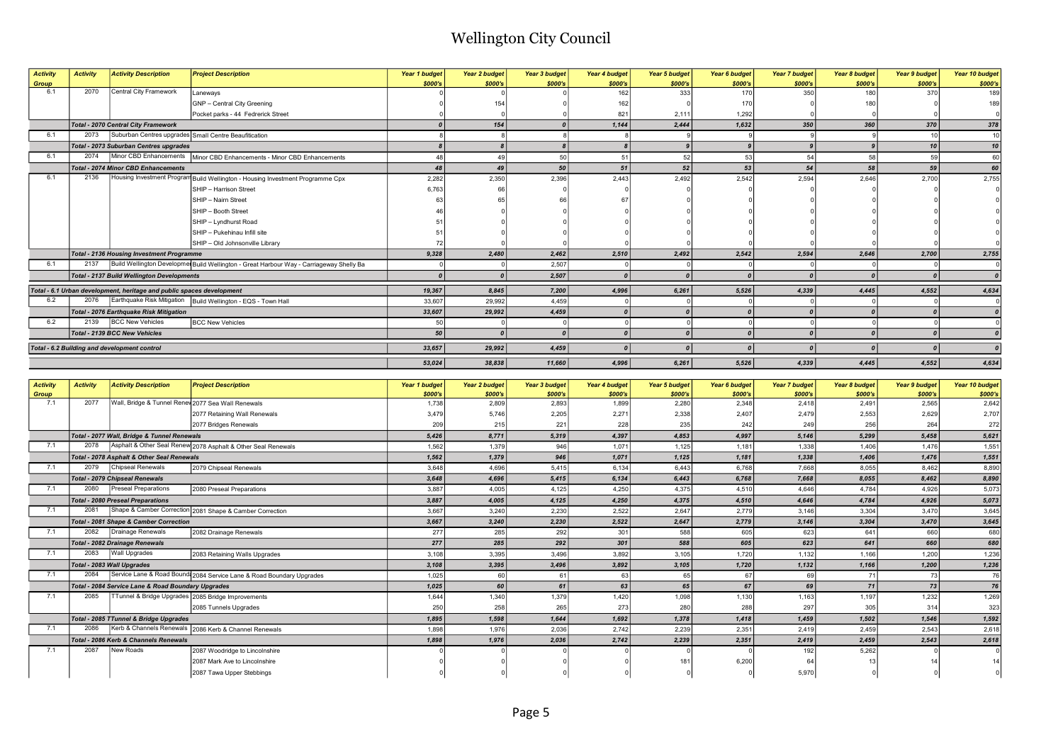| <b>Activity</b> | <b>Activity</b> | <b>Activity Description</b>                                           | <b>Project Description</b>                                                               | Year 1 budget | Year 2 budget | Year 3 budget   | Year 4 budget   | <b>Year 5 budget</b> | Year 6 budget | Year 7 budget | Year 8 budget | <b>Year 9 budget</b> | Year 10 budget  |
|-----------------|-----------------|-----------------------------------------------------------------------|------------------------------------------------------------------------------------------|---------------|---------------|-----------------|-----------------|----------------------|---------------|---------------|---------------|----------------------|-----------------|
| Group           |                 |                                                                       |                                                                                          | \$000's       | \$000's       | \$000's         | \$000's         | \$000's              | \$000's       | \$000's       | \$000's       | \$000's              | \$000's         |
| 6.1             | 2070            | Central City Framework                                                | Laneways                                                                                 |               |               |                 | 162             | 333                  | 170           | 350           | 180           | 370                  | 189             |
|                 |                 |                                                                       | GNP - Central City Greening                                                              |               | 154           |                 | 162             |                      | 170           |               | 180           |                      | 189             |
|                 |                 |                                                                       | Pocket parks - 44 Fedrerick Street                                                       |               |               |                 | 82 <sup>2</sup> | 2,111                | 1,292         |               |               |                      |                 |
|                 |                 | <b>Total - 2070 Central City Framework</b>                            |                                                                                          |               | 154           |                 | 1,144           | 2,444                | 1,632         | 350           | 360           | 370                  | 378             |
| 6.1             | 2073            | Suburban Centres upgrades Small Centre Beaufitication                 |                                                                                          |               |               |                 |                 |                      |               |               |               | 10                   | 10 <sup>1</sup> |
|                 |                 | <b>Total - 2073 Suburban Centres upgrades</b>                         |                                                                                          |               |               |                 |                 |                      |               |               |               | 10 <sup>1</sup>      | 10              |
| 6.1             | 2074            |                                                                       | Minor CBD Enhancements   Minor CBD Enhancements - Minor CBD Enhancements                 | 48            | 49            | 50              | 51              | 52                   | 53            | 54            | 58            | 59                   | 60              |
|                 |                 | <b>Total - 2074 Minor CBD Enhancements</b>                            |                                                                                          | 48            | 49            | 50 <sub>1</sub> | 51              | 52                   | 53            | 54            | 58            | 59                   | 60              |
| 6.1             | 2136            |                                                                       | Housing Investment Program Build Wellington - Housing Investment Programme Cpx           | 2,282         | 2,350         | 2,396           | 2,443           | 2,492                | 2,542         | 2,594         | 2,646         | 2,700                | 2,755           |
|                 |                 |                                                                       | SHIP - Harrison Street                                                                   | 6.763         | 66            |                 |                 |                      |               |               |               |                      |                 |
|                 |                 |                                                                       | SHIP - Nairn Street                                                                      |               |               |                 |                 |                      |               |               |               |                      |                 |
|                 |                 |                                                                       | SHIP - Booth Street                                                                      |               |               |                 |                 |                      |               |               |               |                      |                 |
|                 |                 |                                                                       | SHIP - Lyndhurst Road                                                                    |               |               |                 |                 |                      |               |               |               |                      |                 |
|                 |                 |                                                                       | SHIP - Pukehinau Infill site                                                             |               |               |                 |                 |                      |               |               |               |                      |                 |
|                 |                 |                                                                       | SHIP - Old Johnsonville Library                                                          |               |               |                 |                 |                      |               |               |               |                      |                 |
|                 |                 | <b>Total - 2136 Housing Investment Programme</b>                      |                                                                                          | 9,328         | 2,480         | 2,462           | 2,510           | 2,492                | 2,542         | 2,594         | 2,646         | 2,700                | 2,755           |
| 6.1             | 2137            |                                                                       | Build Wellington Developmer Build Wellington - Great Harbour Way - Carriageway Shelly Ba |               |               | 2,507           |                 |                      |               |               |               |                      |                 |
|                 |                 | <b>Total - 2137 Build Wellington Developments</b>                     |                                                                                          |               |               | 2,507           |                 |                      |               |               |               |                      |                 |
|                 |                 | Total - 6.1 Urban development, heritage and public spaces development |                                                                                          | 19,367        | 8,845         | 7,200           | 4,996           | 6,261                | 5,526         | 4,339         | 4,445         | 4,552                | 4,634           |
| 6.2             | 2076            |                                                                       | Earthquake Risk Mitigation   Build Wellington - EQS - Town Hall                          | 33,607        | 29,992        | 4,459           |                 |                      |               |               |               |                      |                 |
|                 |                 | <b>Total - 2076 Earthquake Risk Mitigation</b>                        |                                                                                          | 33,607        | 29,992        | 4,459           |                 |                      |               |               |               |                      |                 |
| 6.2             | 2139            | <b>BCC New Vehicles</b>                                               | <b>BCC New Vehicles</b>                                                                  | 50            |               |                 |                 |                      |               |               |               |                      |                 |
|                 |                 | Total - 2139 BCC New Vehicles                                         |                                                                                          | 50            |               |                 |                 |                      |               |               |               |                      |                 |
|                 |                 | Total - 6.2 Building and development control                          |                                                                                          | 33,657        | 29,992        | 4,459           |                 |                      |               |               |               |                      |                 |
|                 |                 |                                                                       |                                                                                          | 53,024        | 38,838        | 11,660          | 4,996           | 6,261                | 5,526         | 4,339         | 4,445         | 4,552                | 4,634           |

| <b>Activity</b> | <b>Activity</b> | <b>Activity Description</b>                        | <b>Project Description</b>                                           | Year 1 budget | <b>Year 2 budget</b> | <b>Year 3 budget</b> | Year 4 budget | <b>Year 5 budget</b> | Year 6 budget | <b>Year 7 budget</b> | Year 8 budget | <b>Year 9 budget</b> | Year 10 budget |
|-----------------|-----------------|----------------------------------------------------|----------------------------------------------------------------------|---------------|----------------------|----------------------|---------------|----------------------|---------------|----------------------|---------------|----------------------|----------------|
| Group           |                 |                                                    |                                                                      | \$000's       | \$000's              | \$000's              | \$000's       | \$000's              | \$000's       | \$000's              | \$000's       | \$000's              | \$000's        |
| 7.1             | 2077            | Wall, Bridge & Tunnel Renew 2077 Sea Wall Renewals |                                                                      | 1,738         | 2,809                | 2,893                | 1,899         | 2,280                | 2,348         | 2,418                | 2,491         | 2,565                | 2,642          |
|                 |                 |                                                    | 2077 Retaining Wall Renewals                                         | 3.479         | 5.746                | 2,205                | 2,271         | 2,338                | 2.407         | 2.479                | 2,553         | 2.629                | 2,707          |
|                 |                 |                                                    | 2077 Bridges Renewals                                                | 209           | 215                  | 221                  | 228           | 235                  | 242           | 249                  | 256           | 264                  | 272            |
|                 |                 | Total - 2077 Wall, Bridge & Tunnel Renewals        |                                                                      | 5.426         | 8.771                | 5,319                | 4,397         | 4,853                | 4,997         | 5,146                | 5,299         | 5.458                | 5,621          |
| 7.1             | 2078            |                                                    | Asphalt & Other Seal Renew 2078 Asphalt & Other Seal Renewals        | 1,562         | 1,379                | 946                  | 1,071         | 1,125                | 1,181         | 1,338                | 1,406         | 1.476                | 1,551          |
|                 |                 | Total - 2078 Asphalt & Other Seal Renewals         |                                                                      | 1,562         | 1,379                | 946                  | 1,071         | 1,125                | 1,181         | 1,338                | 1,406         | 1,476                | 1,551          |
| 7.1             | 2079            | Chipseal Renewals                                  | 2079 Chipseal Renewals                                               | 3.648         | 4,696                | 5,415                | 6,134         | 6.443                | 6.768         | 7.668                | 8,055         | 8.462                | 8,890          |
|                 |                 | <b>Total - 2079 Chipseal Renewals</b>              |                                                                      | 3,648         | 4,696                | 5,415                | 6,134         | 6,443                | 6,768         | 7,668                | 8,055         | 8,462                | 8,890          |
| 7.1             | 2080            | Preseal Preparations                               | 2080 Preseal Preparations                                            | 3,887         | 4,005                | 4,125                | 4,250         | 4,375                | 4,510         | 4,646                | 4,784         | 4.926                | 5,073          |
|                 |                 | <b>Total - 2080 Preseal Preparations</b>           |                                                                      | 3,887         | 4,005                | 4,125                | 4,250         | 4,375                | 4,510         | 4,646                | 4,784         | 4,926                | 5,073          |
| 7.1             | 2081            |                                                    | Shape & Camber Correction 2081 Shape & Camber Correction             | 3.667         | 3.240                | 2,230                | 2,522         | 2.647                | 2.779         | 3,146                | 3,304         | 3.470                | 3,645          |
|                 |                 | <b>Total - 2081 Shape &amp; Camber Correction</b>  |                                                                      | 3,667         | 3,240                | 2,230                | 2,522         | 2,647                | 2,779         | 3,146                | 3,304         | 3,470                | 3,645          |
| 7.1             | 2082            | Drainage Renewals                                  | 2082 Drainage Renewals                                               | 277           | 285                  | 292                  | 301           | 588                  | 605           | 623                  | 641           | 660                  | 680            |
|                 |                 | <b>Total - 2082 Drainage Renewals</b>              |                                                                      | 277           | 285                  | 292                  | 301           | 588                  | 605           | 623                  | 641           | 660                  | 680            |
| 7.1             | 2083            | Wall Upgrades                                      | 2083 Retaining Walls Upgrades                                        | 3,108         | 3,395                | 3,496                | 3,892         | 3,105                | 1,720         | 1,132                | 1,166         | 1,200                | 1,236          |
|                 |                 | Total - 2083 Wall Upgrades                         |                                                                      | 3,108         | 3,395                | 3,496                | 3,892         | 3,105                | 1,720         | 1,132                | 1,166         | 1.200                | 1,236          |
| 7.1             | 2084            |                                                    | Service Lane & Road Bound 2084 Service Lane & Road Boundary Upgrades | 1,025         | 60                   | 61                   | 63            | 65                   | 67            | 69                   | 7'            | 73                   | 76             |
|                 |                 | Total - 2084 Service Lane & Road Boundary Upgrades |                                                                      | 1.025         | 60                   | 61                   | 63            | 65                   | 67            |                      | 71            | 73                   | 76             |
| 7.1             | 2085            |                                                    | TTunnel & Bridge Upgrades 2085 Bridge Improvements                   | 1.644         | 1,340                | 1,379                | 1,420         | 1,098                | 1,130         | 1,163                | 1,197         | 1,232                | 1,269          |
|                 |                 |                                                    | 2085 Tunnels Upgrades                                                | 250           | 258                  | 265                  | 273           | 280                  | 288           | 297                  | 305           | 314                  | 323            |
|                 |                 | Total - 2085 TTunnel & Bridge Upgrades             |                                                                      | 1,895         | 1,598                | 1,644                | 1,692         | 1,378                | 1,418         | 1,459                | 1,502         | 1,546                | 1,592          |
| 7.1             | 2086            |                                                    | Kerb & Channels Renewals 2086 Kerb & Channel Renewals                | 1,898         | 1,976                | 2,036                | 2,742         | 2,239                | 2,351         | 2,419                | 2,459         | 2,543                | 2,618          |
|                 |                 | Total - 2086 Kerb & Channels Renewals              |                                                                      | 1,898         | 1,976                | 2,036                | 2,742         | 2,239                | 2,351         | 2,419                | 2,459         | 2,543                | 2,618          |
| 7.1             | 2087            | New Roads                                          | 2087 Woodridge to Lincolnshire                                       |               |                      |                      |               |                      |               | 192                  | 5,262         |                      |                |
|                 |                 |                                                    | 2087 Mark Ave to Lincolnshire                                        |               |                      |                      |               |                      | 6,200         |                      |               |                      |                |
|                 |                 |                                                    | 2087 Tawa Upper Stebbings                                            |               |                      |                      |               |                      |               | 5,970                |               |                      |                |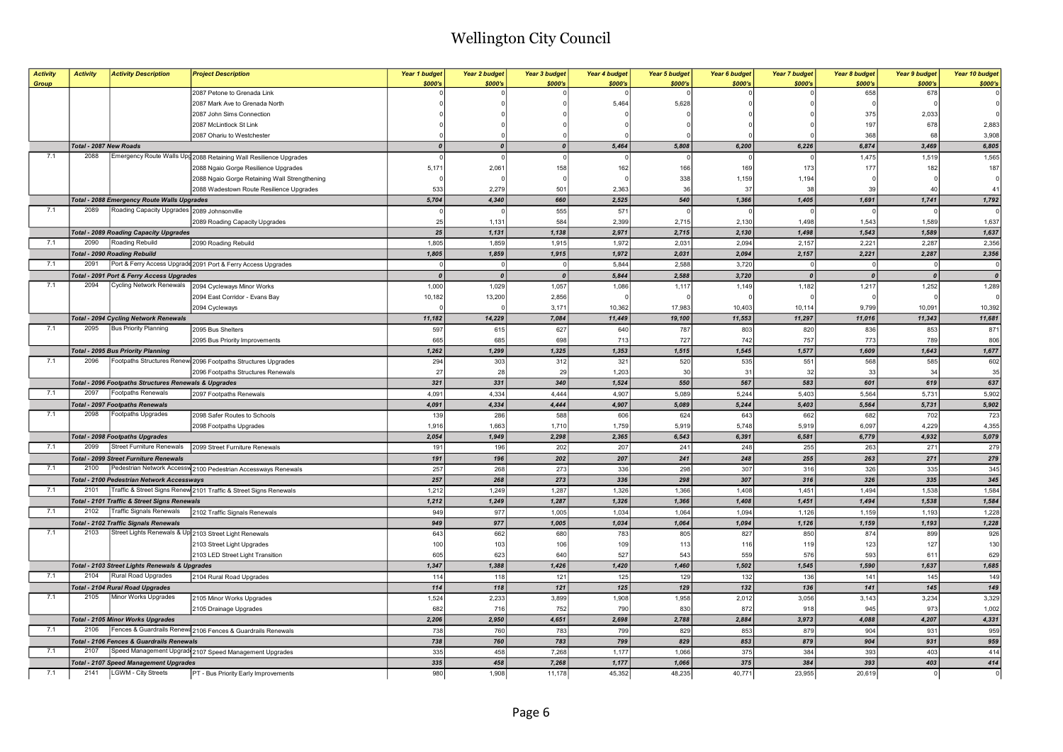| <b>Activity</b> | <b>Activity</b>        | <b>Activity Description</b>                                           | <b>Project Description</b>                                        | Year 1 budget<br>\$000's | Year 2 budget<br>\$000's | <b>Year 3 budget</b><br>\$000's | Year 4 budget<br>\$000's | <b>Year 5 budget</b><br>\$000's | Year 6 budget<br>\$000's | <b>Year 7 budget</b><br>\$000's | Year 8 budget<br>\$000's | <b>Year 9 budget</b><br>\$000's | Year 10 budget<br>\$000's |
|-----------------|------------------------|-----------------------------------------------------------------------|-------------------------------------------------------------------|--------------------------|--------------------------|---------------------------------|--------------------------|---------------------------------|--------------------------|---------------------------------|--------------------------|---------------------------------|---------------------------|
| Group           |                        |                                                                       | 2087 Petone to Grenada Link                                       |                          |                          |                                 |                          |                                 |                          |                                 | 658                      | 678                             |                           |
|                 |                        |                                                                       | 2087 Mark Ave to Grenada North                                    |                          |                          |                                 | 5,464                    | 5,628                           |                          |                                 |                          |                                 |                           |
|                 |                        |                                                                       |                                                                   |                          |                          |                                 |                          |                                 |                          |                                 | 375                      |                                 |                           |
|                 |                        |                                                                       | 2087 John Sims Connection                                         |                          |                          |                                 |                          |                                 |                          |                                 |                          | 2,033                           |                           |
|                 |                        |                                                                       | 2087 McLintlock St Link                                           |                          |                          |                                 |                          |                                 |                          |                                 | 197                      | 678                             | 2,883                     |
|                 |                        |                                                                       | 2087 Ohariu to Westchester                                        |                          |                          |                                 |                          |                                 |                          |                                 | 368                      | 68                              | 3,908                     |
|                 | Total - 2087 New Roads |                                                                       |                                                                   | $\boldsymbol{0}$         | 0                        | 0                               | 5,464                    | 5,808                           | 6,200                    | 6,226                           | 6,874                    | 3,469                           | 6,805                     |
| 7.1             | 2088                   |                                                                       | Emergency Route Walls Upg 2088 Retaining Wall Resilience Upgrades |                          |                          | $\Omega$                        |                          |                                 |                          |                                 | 1,475                    | 1,519                           | 1,565                     |
|                 |                        |                                                                       | 2088 Ngaio Gorge Resilience Upgrades                              | 5,171                    | 2,061                    | 158                             | 162                      | 166                             | 169                      | 173                             | 177                      | 182                             | 187                       |
|                 |                        |                                                                       | 2088 Ngaio Gorge Retaining Wall Strengthening                     |                          |                          |                                 |                          | 338                             | 1,159                    | 1,194                           |                          |                                 |                           |
|                 |                        |                                                                       | 2088 Wadestown Route Resilience Upgrades                          | 533                      | 2,279                    | 501                             | 2,363                    | 36                              | 37                       | 38                              | 39                       | $\Delta$                        | 41                        |
|                 |                        | Total - 2088 Emergency Route Walls Upgrades                           |                                                                   | 5,704                    | 4,340                    | 660                             | 2,525                    | 540                             | 1,366                    | 1,405                           | 1,691                    | 1,741                           | 1,792                     |
| 7.1             | 2089                   | Roading Capacity Upgrades 2089 Johnsonville                           |                                                                   |                          |                          | 555                             | 571                      |                                 |                          |                                 |                          |                                 |                           |
|                 |                        |                                                                       | 2089 Roading Capacity Upgrades                                    | 25                       | 1,131                    | 584                             | 2,399                    | 2,715                           | 2,130                    | 1,498                           | 1,543                    | 1,589                           | 1,637                     |
|                 |                        | <b>Total - 2089 Roading Capacity Upgrades</b>                         |                                                                   | $\bf 25$                 | 1,131                    | 1,138                           | 2,971                    | 2,715                           | 2,130                    | 1,498                           | 1,543                    | 1,589                           | 1,637                     |
| 7.1             | 2090                   | Roading Rebuild                                                       | 2090 Roading Rebuild                                              | 1,805                    | 1,859                    | 1,915                           | 1,972                    | 2,031                           | 2,094                    | 2,157                           | 2,221                    | 2,287                           | 2,356                     |
|                 |                        | <b>Total - 2090 Roading Rebuild</b>                                   |                                                                   | 1,805                    | 1,859                    | 1,915                           | 1,972                    | 2,031                           | 2,094                    | 2,157                           | 2,221                    | 2,287                           | 2,356                     |
| 7.1             | 2091                   |                                                                       | Port & Ferry Access Upgradd 2091 Port & Ferry Access Upgrades     |                          |                          | $^{\circ}$                      | 5,844                    | 2,588                           | 3,720                    | $\mathbf 0$                     | $\Omega$                 | $\mathsf{C}$                    |                           |
|                 |                        | Total - 2091 Port & Ferry Access Upgrades                             |                                                                   | $\boldsymbol{0}$         | $\boldsymbol{0}$         | $\boldsymbol{0}$                | 5,844                    | 2,588                           | 3,720                    | $\boldsymbol{0}$                | $\boldsymbol{0}$         | $\boldsymbol{0}$                | $\boldsymbol{\theta}$     |
| 7.1             | 2094                   | Cycling Network Renewals                                              | 2094 Cycleways Minor Works                                        | 1,000                    | 1,029                    | 1,057                           | 1,086                    | 1,117                           | 1,149                    | 1,182                           | 1,217                    | 1,252                           | 1,289                     |
|                 |                        |                                                                       | 2094 East Corridor - Evans Bay                                    | 10,182                   | 13,200                   | 2,856                           |                          |                                 |                          |                                 |                          |                                 |                           |
|                 |                        |                                                                       | 2094 Cycleways                                                    |                          |                          | 3,171                           | 10,362                   | 17,983                          | 10,403                   | 10,114                          | 9,799                    | 10,091                          | 10,392                    |
|                 |                        | <b>Total - 2094 Cycling Network Renewals</b>                          |                                                                   | 11,182                   | 14,229                   | 7,084                           | 11,449                   | 19,100                          | 11,553                   | 11,297                          | 11,016                   | 11,343                          | 11,681                    |
| 7.1             | 2095                   | <b>Bus Priority Planning</b>                                          | 2095 Bus Shelters                                                 | 597                      | 615                      | 627                             | 640                      | 787                             | 803                      | 820                             | 836                      | 853                             | 871                       |
|                 |                        |                                                                       | 2095 Bus Priority Improvements                                    | 665                      | 685                      | 698                             | 713                      | 727                             | 742                      | 757                             | 773                      | 789                             | 806                       |
|                 |                        | <b>Total - 2095 Bus Priority Planning</b>                             |                                                                   | 1,262                    | 1,299                    | 1,325                           | 1,353                    | 1,515                           | 1,545                    | 1,577                           | 1,609                    | 1,643                           | 1,677                     |
| 7.1             | 2096                   |                                                                       | Footpaths Structures Renew 2096 Footpaths Structures Upgrades     | 294                      | 303                      | 312                             | 321                      | 520                             | 535                      | 551                             | 568                      | 585                             | 602                       |
|                 |                        |                                                                       | 2096 Footpaths Structures Renewals                                | 27                       | 28                       | 29                              | 1,203                    | 30                              | 31                       | 32                              | 33                       | 34                              | 35                        |
|                 |                        | Total - 2096 Footpaths Structures Renewals & Upgrades                 |                                                                   | 321                      | 331                      | 340                             | 1,524                    | 550                             | 567                      | 583                             | 601                      | 619                             | 637                       |
| 7.1             | 2097                   | Footpaths Renewals                                                    | 2097 Footpaths Renewals                                           | 4,091                    | 4,334                    | 4,444                           | 4,907                    | 5,089                           | 5,244                    | 5,403                           | 5,564                    | 5,731                           | 5,902                     |
|                 |                        | <b>Total - 2097 Footpaths Renewals</b>                                |                                                                   | 4,091                    | 4,334                    | 4,444                           | 4,907                    | 5,089                           | 5,244                    | 5,403                           | 5,564                    | 5,731                           | 5,902                     |
| 7.1             | 2098                   | Footpaths Upgrades                                                    | 2098 Safer Routes to Schools                                      | 139                      | 286                      | 588                             | 606                      | 624                             | 643                      | 662                             | 682                      | 702                             | 723                       |
|                 |                        |                                                                       | 2098 Footpaths Upgrades                                           | 1,916                    | 1,663                    | 1,710                           | 1,759                    | 5,919                           | 5,748                    | 5,919                           | 6,097                    | 4,229                           | 4,355                     |
|                 |                        | <b>Total - 2098 Footpaths Upgrades</b>                                |                                                                   | 2,054                    | 1,949                    | 2,298                           | 2,365                    | 6,543                           | 6,391                    | 6,581                           | 6,779                    | 4,932                           | 5,079                     |
| 7.1             | 2099                   | Street Furniture Renewals                                             | 2099 Street Furniture Renewals                                    | 191                      | 196                      | 202                             | 207                      | 241                             | 248                      | 255                             | 263                      | 271                             | 279                       |
|                 |                        | Total - 2099 Street Furniture Renewals                                |                                                                   | 191                      | 196                      | 202                             | 207                      | 241                             | 248                      | 255                             | 263                      | 271                             | 279                       |
| 7.1             | 2100                   |                                                                       | Pedestrian Network Accessw 2100 Pedestrian Accessways Renewals    | 257                      | 268                      | 273                             | 336                      | 298                             | 307                      | 316                             | 326                      | 335                             | 345                       |
|                 |                        | <b>Total - 2100 Pedestrian Network Accessways</b>                     |                                                                   | 257                      | 268                      | 273                             | 336                      | 298                             | 307                      | 316                             | 326                      | 335                             | 345                       |
| 7.1             | 2101                   |                                                                       | Traffic & Street Signs Renew 2101 Traffic & Street Signs Renewals | 1,212                    | 1,249                    | 1,287                           | 1,326                    | 1,366                           | 1,408                    | 1,451                           | 1,494                    | 1,538                           | 1,584                     |
|                 |                        | Total - 2101 Traffic & Street Signs Renewals                          |                                                                   | 1,212                    | 1,249                    | 1,287                           | 1,326                    | 1,366                           | 1,408                    | 1,451                           | 1,494                    | 1,538                           | 1,584                     |
| 7.1             | 2102                   | <b>Traffic Signals Renewals</b>                                       | 2102 Traffic Signals Renewals                                     | 949                      | 977                      | 1,005                           | 1,034                    | 1,064                           | 1,094                    | 1,126                           | 1,159                    | 1,193                           | 1,228                     |
|                 |                        |                                                                       |                                                                   | 949                      | 977                      | 1,005                           | 1,034                    | 1,064                           | 1,094                    | 1,126                           | 1,159                    | 1,193                           | 1,228                     |
| 7.1             | 2103                   | Total - 2102 Traffic Signals Renewals                                 | Street Lights Renewals & Up 2103 Street Light Renewals            | 643                      | 662                      | 680                             | 783                      | 805                             | 827                      | 850                             | 874                      | 899                             | 926                       |
|                 |                        |                                                                       |                                                                   | 100                      | 103                      |                                 | 109                      |                                 | 116                      | 119                             |                          | 127                             | 130                       |
|                 |                        |                                                                       | 2103 Street Light Upgrades                                        |                          | 623                      | 106                             | 527                      | 113                             |                          |                                 | 123                      |                                 |                           |
|                 |                        |                                                                       | 2103 LED Street Light Transition                                  | 605                      |                          | 640                             |                          | 543                             | 559                      | 576                             | 593                      | 611                             | 629                       |
| 7.1             | 2104                   | Total - 2103 Street Lights Renewals & Upgrades<br>Rural Road Upgrades |                                                                   | 1,347                    | 1,388                    | 1,426                           | 1,420                    | 1,460                           | 1,502                    | 1,545                           | 1,590                    | 1,637                           | 1,685                     |
|                 |                        |                                                                       | 2104 Rural Road Upgrades                                          | 114                      | 118                      | 121                             | 125                      | 129                             | 132                      | 136                             | 141                      | 145                             | 149                       |
|                 |                        | <b>Total - 2104 Rural Road Upgrades</b>                               |                                                                   | 114                      | 118                      | 121                             | 125                      | 129                             | 132                      | 136                             | 141                      | 145                             | 149                       |
| 7.1             | 2105                   | Minor Works Upgrades                                                  | 2105 Minor Works Upgrades                                         | 1,524                    | 2,233                    | 3,899                           | 1,908                    | 1,958                           | 2,012                    | 3,056                           | 3,143                    | 3,234                           | 3,329                     |
|                 |                        |                                                                       | 2105 Drainage Upgrades                                            | 682                      | 716                      | 752                             | 790                      | 830                             | 872                      | 918                             | 945                      | 973                             | 1,002                     |
|                 |                        | <b>Total - 2105 Minor Works Upgrades</b>                              |                                                                   | 2,206                    | 2,950                    | 4,651                           | 2,698                    | 2,788                           | 2,884                    | 3,973                           | 4,088                    | 4,207                           | 4,331                     |
| 7.1             | 2106                   |                                                                       | Fences & Guardrails Renews 2106 Fences & Guardrails Renewals      | 738                      | 760                      | 783                             | 799                      | 829                             | 853                      | 879                             | 904                      | 931                             | 959                       |
|                 |                        | Total - 2106 Fences & Guardrails Renewals                             |                                                                   | 738                      | 760                      | 783                             | 799                      | 829                             | 853                      | 879                             | 904                      | 931                             | 959                       |
| 7.1             | 2107                   |                                                                       | Speed Management Upgrad 2107 Speed Management Upgrades            | 335                      | 458                      | 7,268                           | 1,177                    | 1,066                           | 375                      | 384                             | 393                      | 403                             | 414                       |
|                 |                        | <b>Total - 2107 Speed Management Upgrades</b>                         |                                                                   | 335                      | 458                      | 7,268                           | 1,177                    | 1,066                           | 375                      | 384                             | 393                      | 403                             | 414                       |
| 7.1             | 2141                   | LGWM - City Streets                                                   | PT - Bus Priority Early Improvements                              | 980                      | 1,908                    | 11,178                          | 45,352                   | 48,235                          | 40,771                   | 23,955                          | 20,619                   | $\Omega$                        | $\Omega$                  |